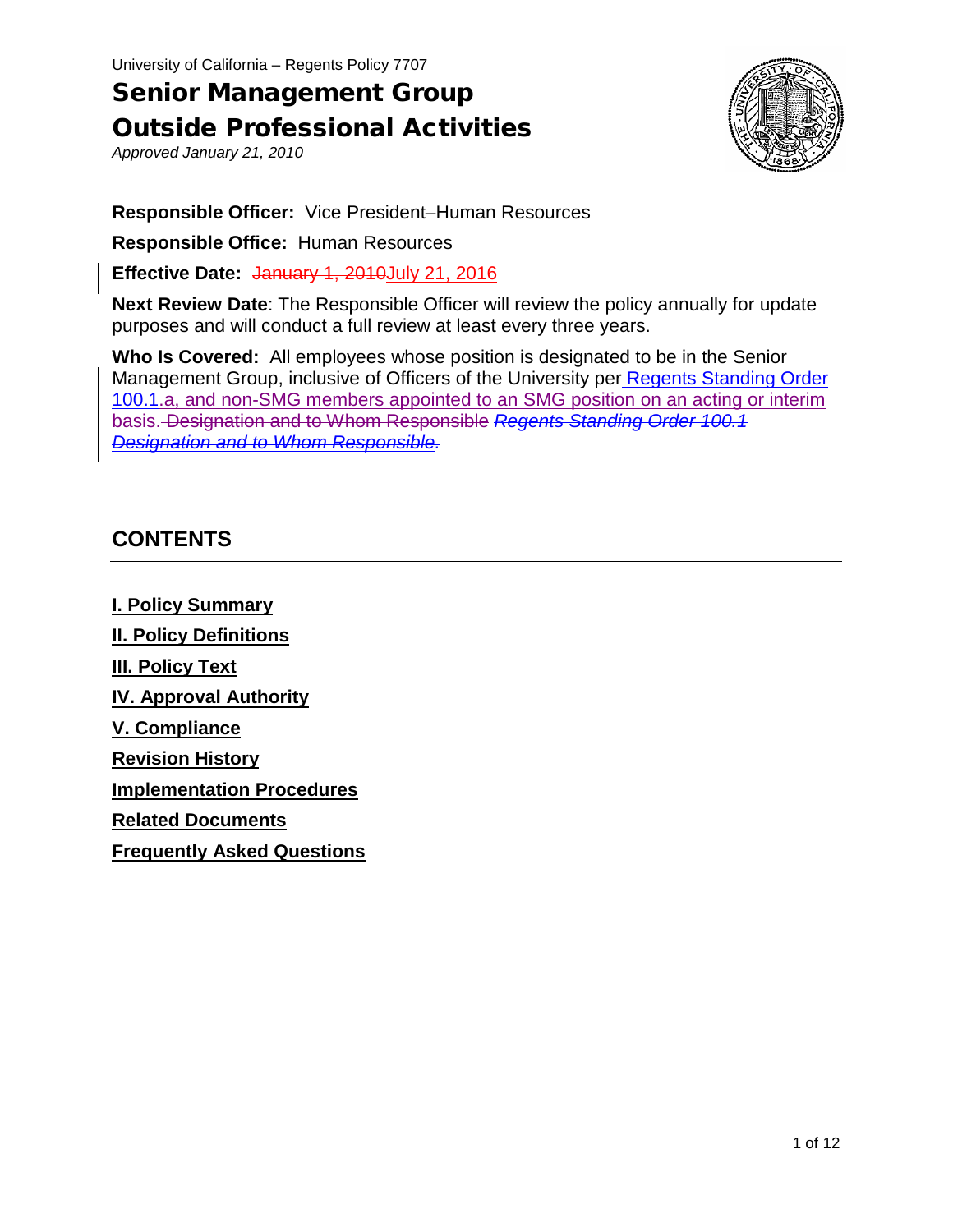University of California – Regents Policy 7707

# Senior Management Group Outside Professional Activities

*Approved January 21, 2010*



**Responsible Officer:** Vice President–Human Resources

**Responsible Office:** Human Resources

**Effective Date: January 1, 2010 July 21, 2016** 

**Next Review Date**: The Responsible Officer will review the policy annually for update purposes and will conduct a full review at least every three years.

**Who Is Covered:** All employees whose position is designated to be in the Senior Management Group, inclusive of Officers of the University per [Regents Standing Order](http://regents.universityofcalifornia.edu/governance/standing-orders/so1001.html)  [100.1.a, and non-SMG members appointed to an SMG position on an acting or interim](http://regents.universityofcalifornia.edu/governance/standing-orders/so1001.html)  basis. [Designation and to Whom Responsible](http://regents.universityofcalifornia.edu/governance/standing-orders/so1001.html) *Regents Standing Order 100.1 Designation and to Whom Responsible.*

# **CONTENTS**

**I. Policy Summary II. Policy Definitions III. Policy Text IV. Approval Authority V. Compliance Revision History Implementation Procedures Related Documents**

**Frequently Asked Questions**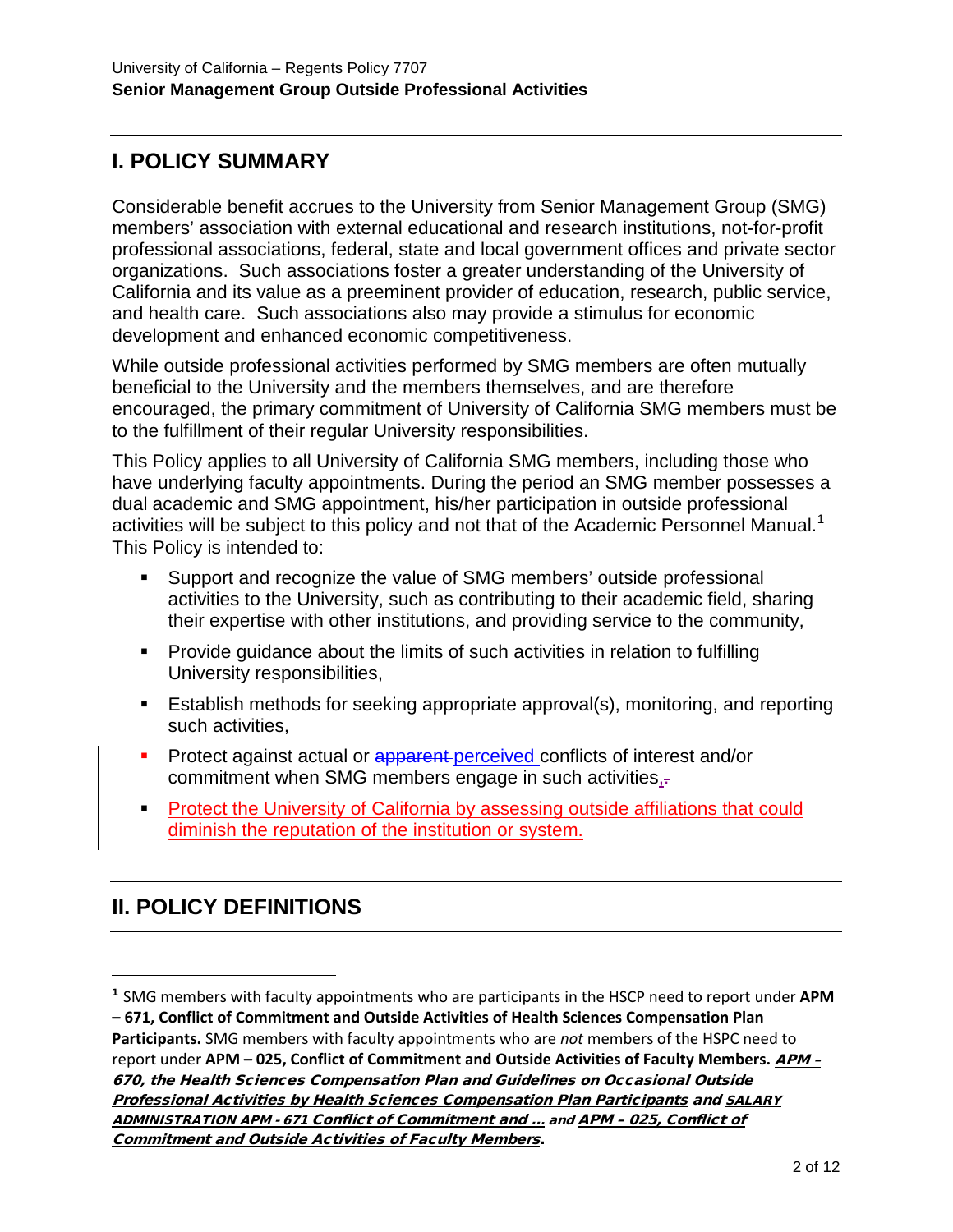# **I. POLICY SUMMARY**

Considerable benefit accrues to the University from Senior Management Group (SMG) members' association with external educational and research institutions, not-for-profit professional associations, federal, state and local government offices and private sector organizations. Such associations foster a greater understanding of the University of California and its value as a preeminent provider of education, research, public service, and health care. Such associations also may provide a stimulus for economic development and enhanced economic competitiveness.

While outside professional activities performed by SMG members are often mutually beneficial to the University and the members themselves, and are therefore encouraged, the primary commitment of University of California SMG members must be to the fulfillment of their regular University responsibilities.

This Policy applies to all University of California SMG members, including those who have underlying faculty appointments. During the period an SMG member possesses a dual academic and SMG appointment, his/her participation in outside professional activities will be subject to this policy and not that of the Academic Personnel Manual.<sup>[1](#page-1-0)</sup> This Policy is intended to:

- Support and recognize the value of SMG members' outside professional activities to the University, such as contributing to their academic field, sharing their expertise with other institutions, and providing service to the community,
- **Provide guidance about the limits of such activities in relation to fulfilling** University responsibilities,
- Establish methods for seeking appropriate approval(s), monitoring, and reporting such activities,
- Protect against actual or apparent perceived conflicts of interest and/or commitment when SMG members engage in such activities,
- **Protect the University of California by assessing outside affiliations that could** diminish the reputation of the institution or system.

# **II. POLICY DEFINITIONS**

-

<span id="page-1-0"></span><sup>1</sup> SMG members with faculty appointments who are participants in the HSCP need to report under **APM – 671, Conflict of Commitment and Outside Activities of Health Sciences Compensation Plan Participants.** SMG members with faculty appointments who are *not* members of the HSPC need to report under **APM – 025, Conflict of Commitment and Outside Activities of Faculty Members.** [APM –](http://www.ucop.edu/academic-personnel-programs/_files/apm/apm-670.pdf) [670, the Health Sciences Compensation Plan and Guidelines on Occasional Outside](http://www.ucop.edu/academic-personnel-programs/_files/apm/apm-670.pdf)  [Professional Activities by Health Sciences Compensation Plan Participants](http://www.ucop.edu/academic-personnel-programs/_files/apm/apm-670.pdf) and [SALARY](https://www.google.com/url?q=http://ucop.edu/academic-personnel-programs/_files/apm/apm-671.pdf&sa=U&ved=0ahUKEwic78nq0svNAhUG_mMKHZ4EBx8QFggFMAA&client=internal-uds-cse&usg=AFQjCNF_18FFk9onzb73sivv5JWKNzKdrQ)  ADMINISTRATION APM - [671 Conflict of Commitment and ...](https://www.google.com/url?q=http://ucop.edu/academic-personnel-programs/_files/apm/apm-671.pdf&sa=U&ved=0ahUKEwic78nq0svNAhUG_mMKHZ4EBx8QFggFMAA&client=internal-uds-cse&usg=AFQjCNF_18FFk9onzb73sivv5JWKNzKdrQ) and APM – [025, Conflict of](http://www.ucop.edu/academic-personnel-programs/_files/apm/apm-025-07-01.pdf)  [Commitment and Outside Activities of Faculty Members](http://www.ucop.edu/academic-personnel-programs/_files/apm/apm-025-07-01.pdf).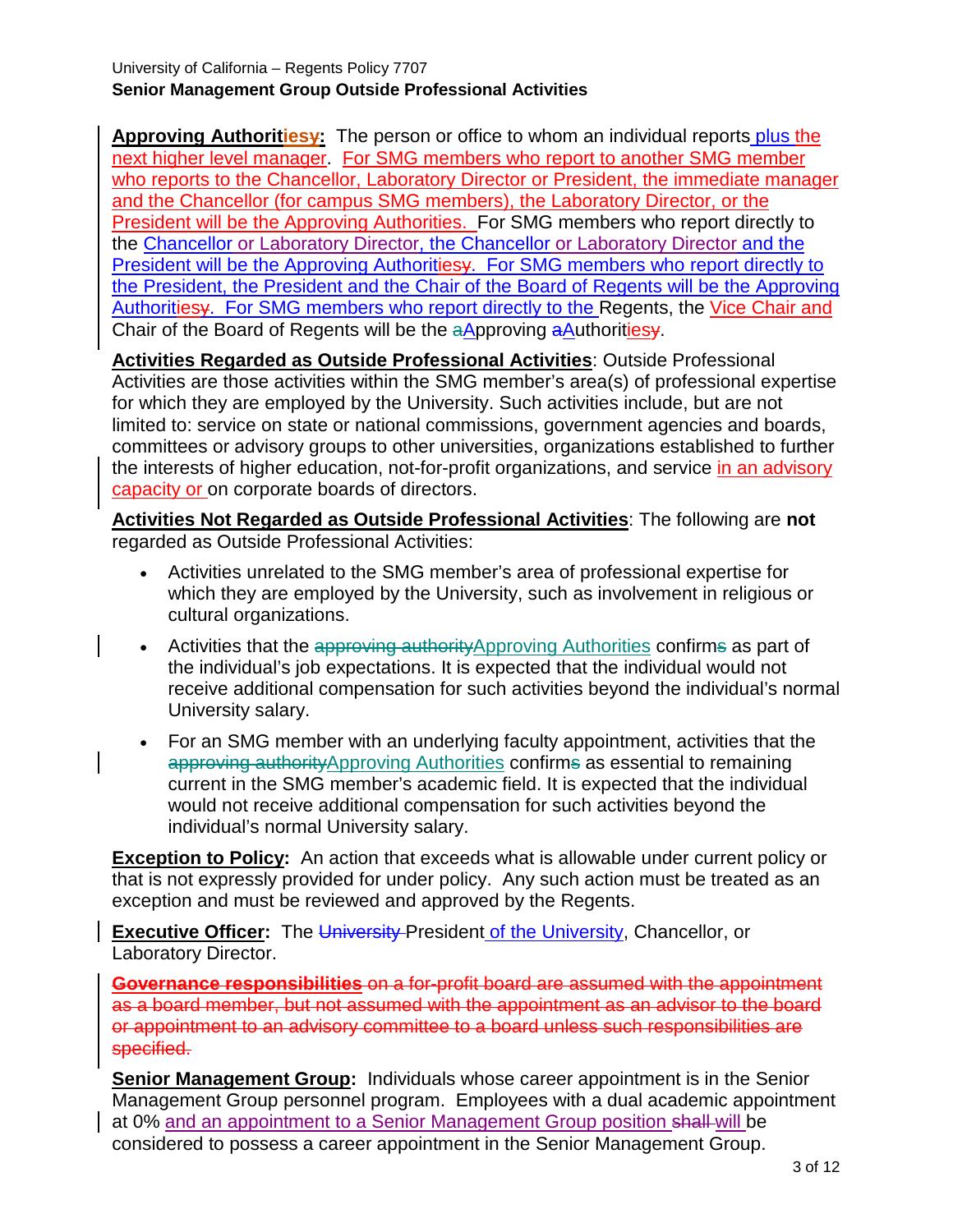**Approving Authoritiesy:** The person or office to whom an individual reports plus the next higher level manager. For SMG members who report to another SMG member who reports to the Chancellor, Laboratory Director or President, the immediate manager and the Chancellor (for campus SMG members), the Laboratory Director, or the President will be the Approving Authorities. For SMG members who report directly to the Chancellor or Laboratory Director, the Chancellor or Laboratory Director and the President will be the Approving Authoritiesy. For SMG members who report directly to the President, the President and the Chair of the Board of Regents will be the Approving Authoritiesy. For SMG members who report directly to the Regents, the Vice Chair and Chair of the Board of Regents will be the aApproving aAuthoritiesy.

**Activities Regarded as Outside Professional Activities**: Outside Professional Activities are those activities within the SMG member's area(s) of professional expertise for which they are employed by the University. Such activities include, but are not limited to: service on state or national commissions, government agencies and boards, committees or advisory groups to other universities, organizations established to further the interests of higher education, not-for-profit organizations, and service in an advisory capacity or on corporate boards of directors.

**Activities Not Regarded as Outside Professional Activities**: The following are **not** regarded as Outside Professional Activities:

- Activities unrelated to the SMG member's area of professional expertise for which they are employed by the University, such as involvement in religious or cultural organizations.
- Activities that the approving authority Approving Authorities confirms as part of the individual's job expectations. It is expected that the individual would not receive additional compensation for such activities beyond the individual's normal University salary.
- For an SMG member with an underlying faculty appointment, activities that the approving authorityApproving Authorities confirms as essential to remaining current in the SMG member's academic field. It is expected that the individual would not receive additional compensation for such activities beyond the individual's normal University salary.

**Exception to Policy:** An action that exceeds what is allowable under current policy or that is not expressly provided for under policy. Any such action must be treated as an exception and must be reviewed and approved by the Regents.

**Executive Officer:** The University President of the University, Chancellor, or Laboratory Director.

**Governance responsibilities** on a for-profit board are assumed with the appointment as a board member, but not assumed with the appointment as an advisor to the board or appointment to an advisory committee to a board unless such responsibilities are specified.

**Senior Management Group:** Individuals whose career appointment is in the Senior Management Group personnel program. Employees with a dual academic appointment at 0% and an appointment to a Senior Management Group position shall will be considered to possess a career appointment in the Senior Management Group.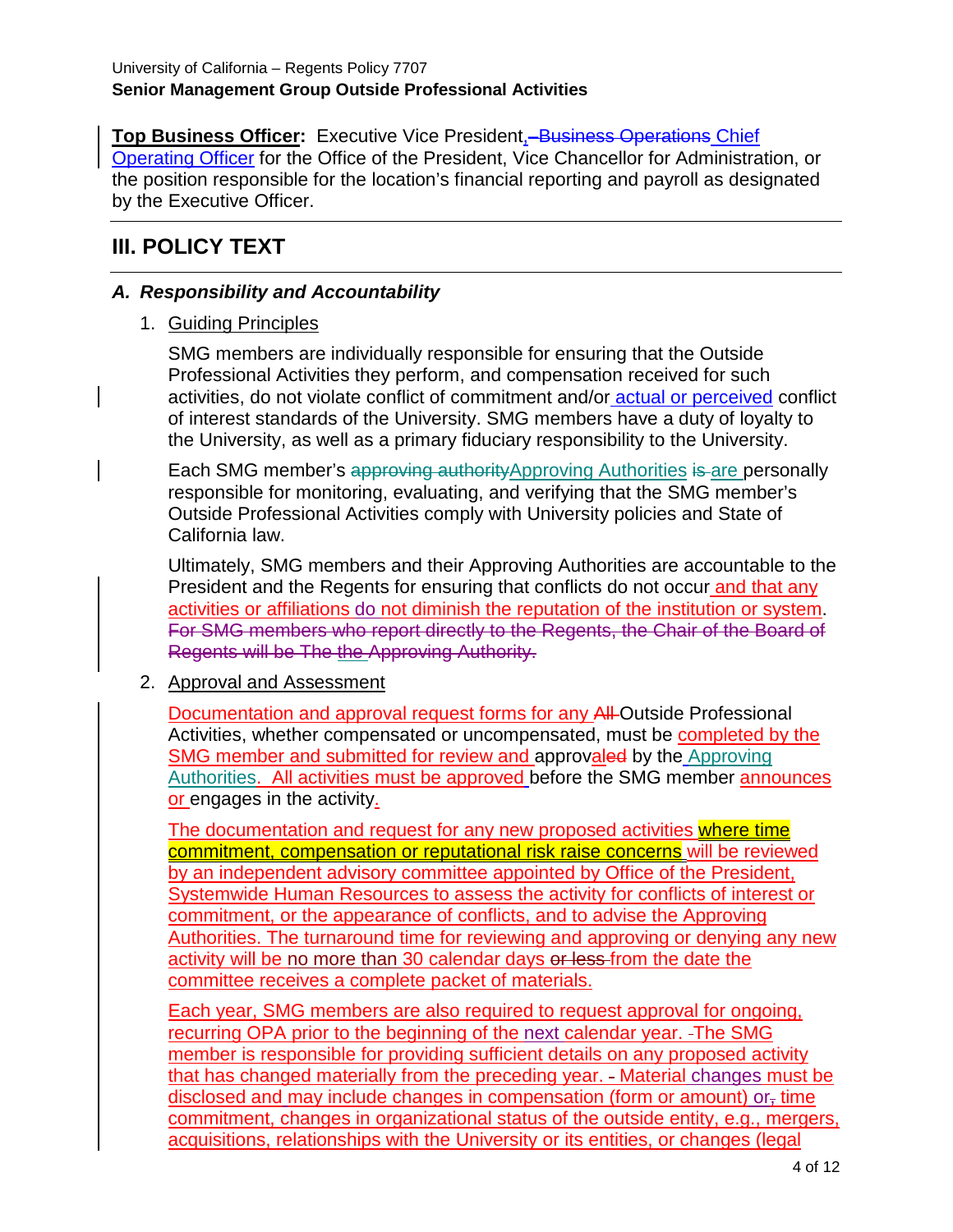**Top Business Officer:** Executive Vice President, **Business Operations Chief** Operating Officer for the Office of the President, Vice Chancellor for Administration, or the position responsible for the location's financial reporting and payroll as designated by the Executive Officer.

# **III. POLICY TEXT**

### *A. Responsibility and Accountability*

1. Guiding Principles

SMG members are individually responsible for ensuring that the Outside Professional Activities they perform, and compensation received for such activities, do not violate conflict of commitment and/or actual or perceived conflict of interest standards of the University. SMG members have a duty of loyalty to the University, as well as a primary fiduciary responsibility to the University.

Each SMG member's approving authority Approving Authorities is are personally responsible for monitoring, evaluating, and verifying that the SMG member's Outside Professional Activities comply with University policies and State of California law.

Ultimately, SMG members and their Approving Authorities are accountable to the President and the Regents for ensuring that conflicts do not occur and that any activities or affiliations do not diminish the reputation of the institution or system. For SMG members who report directly to the Regents, the Chair of the Board of Regents will be The the Approving Authority.

#### 2. Approval and Assessment

Documentation and approval request forms for any All Outside Professional Activities, whether compensated or uncompensated, must be completed by the SMG member and submitted for review and approvaled by the Approving Authorities. All activities must be approved before the SMG member announces or engages in the activity.

The documentation and request for any new proposed activities where time commitment, compensation or reputational risk raise concerns will be reviewed by an independent advisory committee appointed by Office of the President, Systemwide Human Resources to assess the activity for conflicts of interest or commitment, or the appearance of conflicts, and to advise the Approving Authorities. The turnaround time for reviewing and approving or denying any new activity will be no more than 30 calendar days or less-from the date the committee receives a complete packet of materials.

Each year, SMG members are also required to request approval for ongoing, recurring OPA prior to the beginning of the next calendar year. The SMG member is responsible for providing sufficient details on any proposed activity that has changed materially from the preceding year. - Material changes must be disclosed and may include changes in compensation (form or amount) or<sub> $\tau$ </sub> time commitment, changes in organizational status of the outside entity, e.g., mergers, acquisitions, relationships with the University or its entities, or changes (legal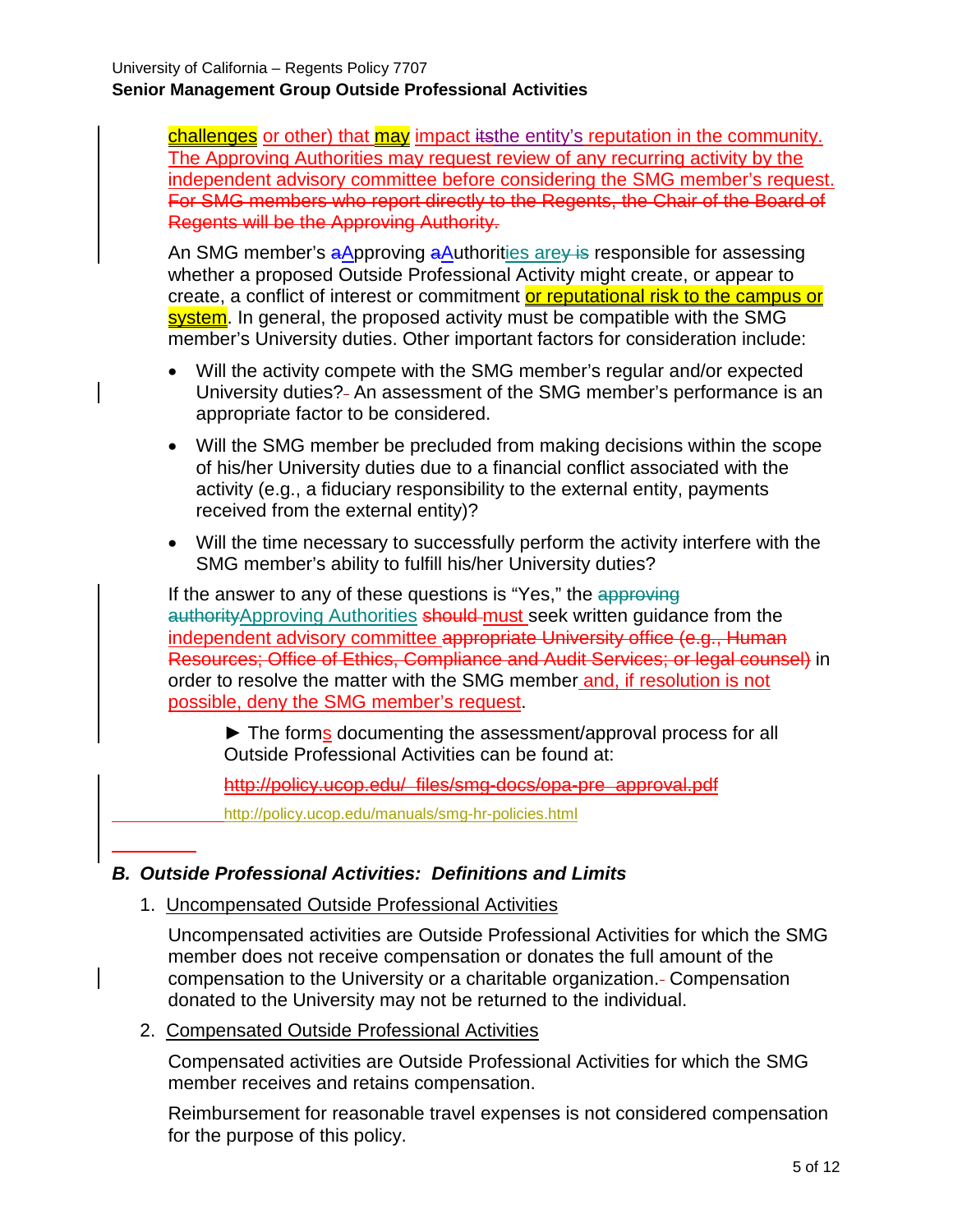challenges or other) that may impact itsthe entity's reputation in the community. The Approving Authorities may request review of any recurring activity by the independent advisory committee before considering the SMG member's request. For SMG members who report directly to the Regents, the Chair of the Board of Regents will be the Approving Authority.

An SMG member's aApproving aAuthorities are is responsible for assessing whether a proposed Outside Professional Activity might create, or appear to create, a conflict of interest or commitment or reputational risk to the campus or system. In general, the proposed activity must be compatible with the SMG member's University duties. Other important factors for consideration include:

- Will the activity compete with the SMG member's regular and/or expected University duties? An assessment of the SMG member's performance is an appropriate factor to be considered.
- Will the SMG member be precluded from making decisions within the scope of his/her University duties due to a financial conflict associated with the activity (e.g., a fiduciary responsibility to the external entity, payments received from the external entity)?
- Will the time necessary to successfully perform the activity interfere with the SMG member's ability to fulfill his/her University duties?

If the answer to any of these questions is "Yes," the approving authorityApproving Authorities should must seek written guidance from the independent advisory committee appropriate University office (e.g., Human Resources; Office of Ethics, Compliance and Audit Services; or legal counsel) in order to resolve the matter with the SMG member and, if resolution is not possible, deny the SMG member's request.

► The forms documenting the assessment/approval process for all Outside Professional Activities can be found at:

http://policy.ucop.edu/\_files/smg-docs/opa-pre\_approval.pdf

<http://policy.ucop.edu/manuals/smg-hr-policies.html>

#### *B. Outside Professional Activities: Definitions and Limits*

1. Uncompensated Outside Professional Activities

Uncompensated activities are Outside Professional Activities for which the SMG member does not receive compensation or donates the full amount of the compensation to the University or a charitable organization. Compensation donated to the University may not be returned to the individual.

2. Compensated Outside Professional Activities

Compensated activities are Outside Professional Activities for which the SMG member receives and retains compensation.

Reimbursement for reasonable travel expenses is not considered compensation for the purpose of this policy.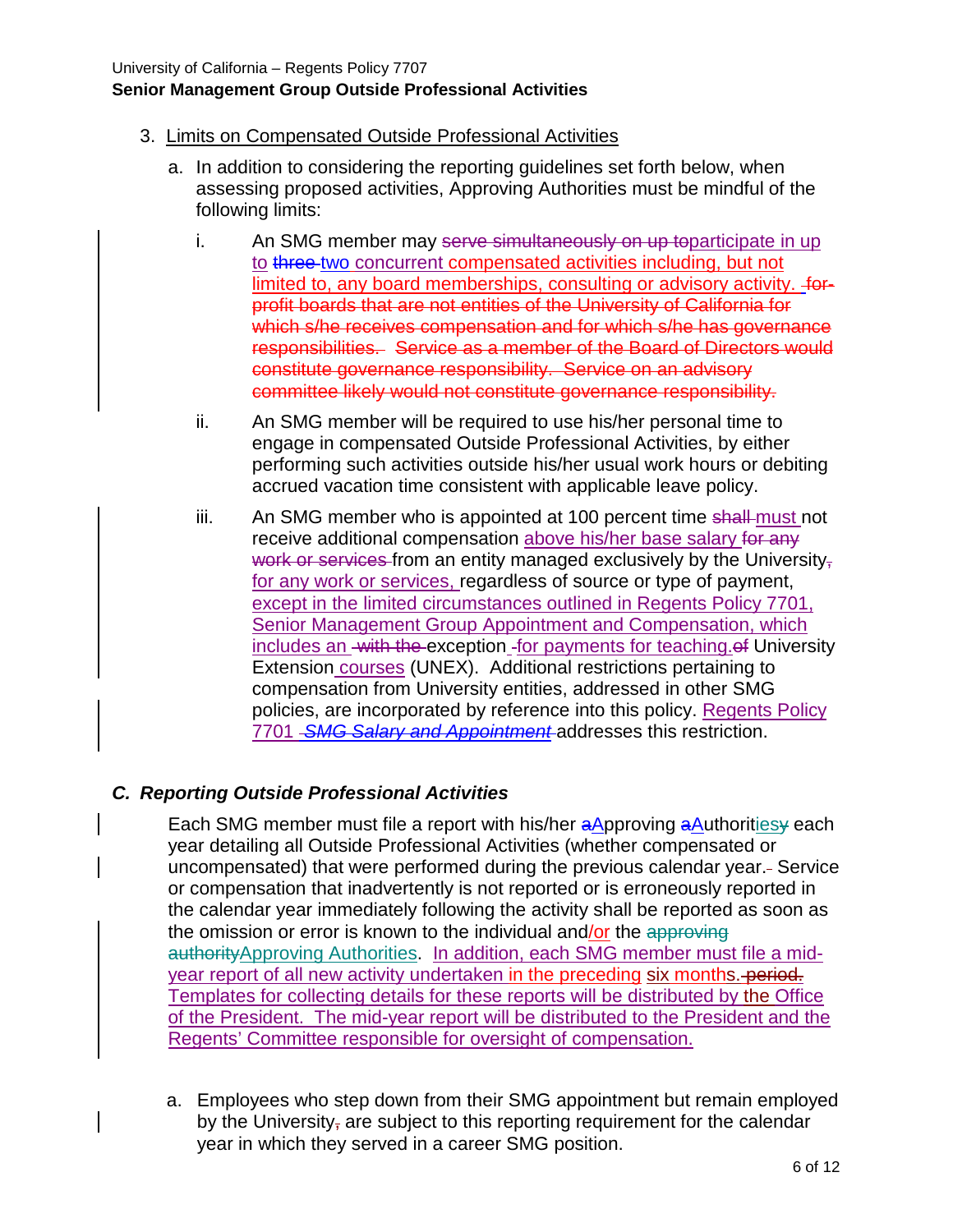### 3. Limits on Compensated Outside Professional Activities

- a. In addition to considering the reporting guidelines set forth below, when assessing proposed activities, Approving Authorities must be mindful of the following limits:
	- i. An SMG member may serve simultaneously on up toparticipate in up to three two concurrent compensated activities including, but not limited to, any board memberships, consulting or advisory activity.  $f_{\text{OP}}$ profit boards that are not entities of the University of California for which s/he receives compensation and for which s/he has governance responsibilities. Service as a member of the Board of Directors would constitute governance responsibility. Service on an advisory committee likely would not constitute governance responsibility.
	- ii. An SMG member will be required to use his/her personal time to engage in compensated Outside Professional Activities, by either performing such activities outside his/her usual work hours or debiting accrued vacation time consistent with applicable leave policy.
	- iii. An SMG member who is appointed at 100 percent time shall-must not receive additional compensation above his/her base salary for any work or services from an entity managed exclusively by the University $<sub>5</sub>$ </sub> for any work or services, regardless of source or type of payment, except in the limited circumstances outlined in Regents Policy 7701, Senior Management Group Appointment and Compensation, which includes an with the exception for payments for teaching of University Extension courses (UNEX). Additional restrictions pertaining to compensation from University entities, addressed in other SMG policies, are incorporated by reference into this policy. Regents Policy 7701 *SMG Salary and Appointment* addresses this restriction.

### *C. Reporting Outside Professional Activities*

Each SMG member must file a report with his/her aApproving aAuthorities yeach year detailing all Outside Professional Activities (whether compensated or uncompensated) that were performed during the previous calendar year. Service or compensation that inadvertently is not reported or is erroneously reported in the calendar year immediately following the activity shall be reported as soon as the omission or error is known to the individual and/or the approving authorityApproving Authorities. In addition, each SMG member must file a midyear report of all new activity undertaken in the preceding six months. period. Templates for collecting details for these reports will be distributed by the Office of the President. The mid-year report will be distributed to the President and the Regents' Committee responsible for oversight of compensation.

a. Employees who step down from their SMG appointment but remain employed by the University, are subject to this reporting requirement for the calendar year in which they served in a career SMG position.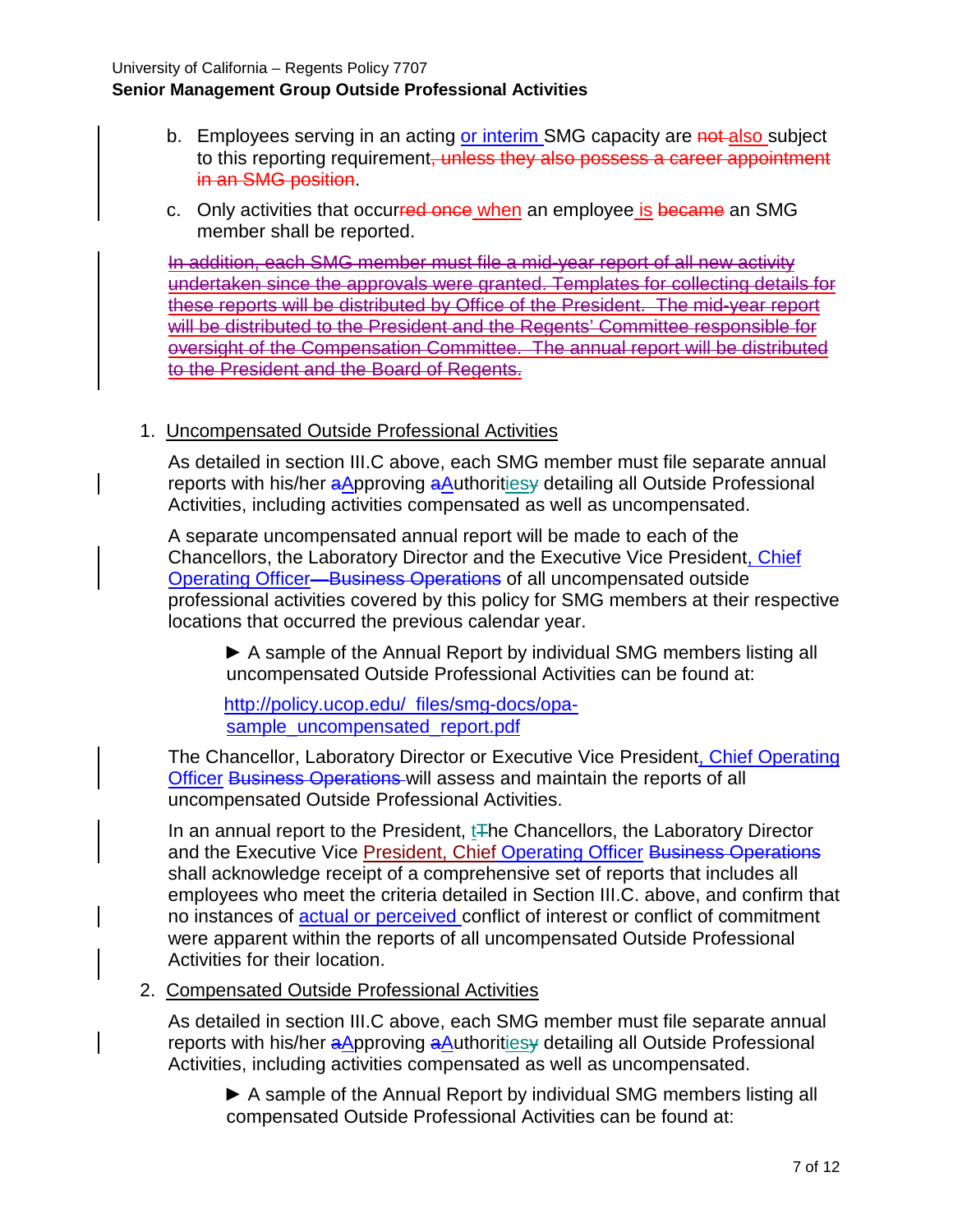- b. Employees serving in an acting or interim SMG capacity are not also subject to this reporting requirement, unless they also possess a career appointment in an SMG position.
- c. Only activities that occurred once when an employee is became an SMG member shall be reported.

In addition, each SMG member must file a mid-year report of all new activity undertaken since the approvals were granted. Templates for collecting details for these reports will be distributed by Office of the President. The mid-year report will be distributed to the President and the Regents' Committee responsible for oversight of the Compensation Committee. The annual report will be distributed to the President and the Board of Regents.

#### 1. Uncompensated Outside Professional Activities

As detailed in section III.C above, each SMG member must file separate annual reports with his/her aApproving aAuthoritiesy detailing all Outside Professional Activities, including activities compensated as well as uncompensated.

A separate uncompensated annual report will be made to each of the Chancellors, the Laboratory Director and the Executive Vice President, Chief Operating Officer—Business Operations of all uncompensated outside professional activities covered by this policy for SMG members at their respective locations that occurred the previous calendar year.

► A sample of the Annual Report by individual SMG members listing all uncompensated Outside Professional Activities can be found at:

[http://policy.ucop.edu/\\_files/smg-docs/opa](http://policy.ucop.edu/_files/smg-docs/opa-sample_uncompensated_report.pdf)[sample\\_uncompensated\\_report.pdf](http://policy.ucop.edu/_files/smg-docs/opa-sample_uncompensated_report.pdf)

The Chancellor, Laboratory Director or Executive Vice President, Chief Operating Officer Business Operations will assess and maintain the reports of all uncompensated Outside Professional Activities.

In an annual report to the President,  $tF$ he Chancellors, the Laboratory Director and the Executive Vice President, Chief Operating Officer Business Operations shall acknowledge receipt of a comprehensive set of reports that includes all employees who meet the criteria detailed in Section III.C. above, and confirm that no instances of actual or perceived conflict of interest or conflict of commitment were apparent within the reports of all uncompensated Outside Professional Activities for their location.

#### 2. Compensated Outside Professional Activities

As detailed in section III.C above, each SMG member must file separate annual reports with his/her aApproving aAuthoritiesy detailing all Outside Professional Activities, including activities compensated as well as uncompensated.

▶ A sample of the Annual Report by individual SMG members listing all compensated Outside Professional Activities can be found at: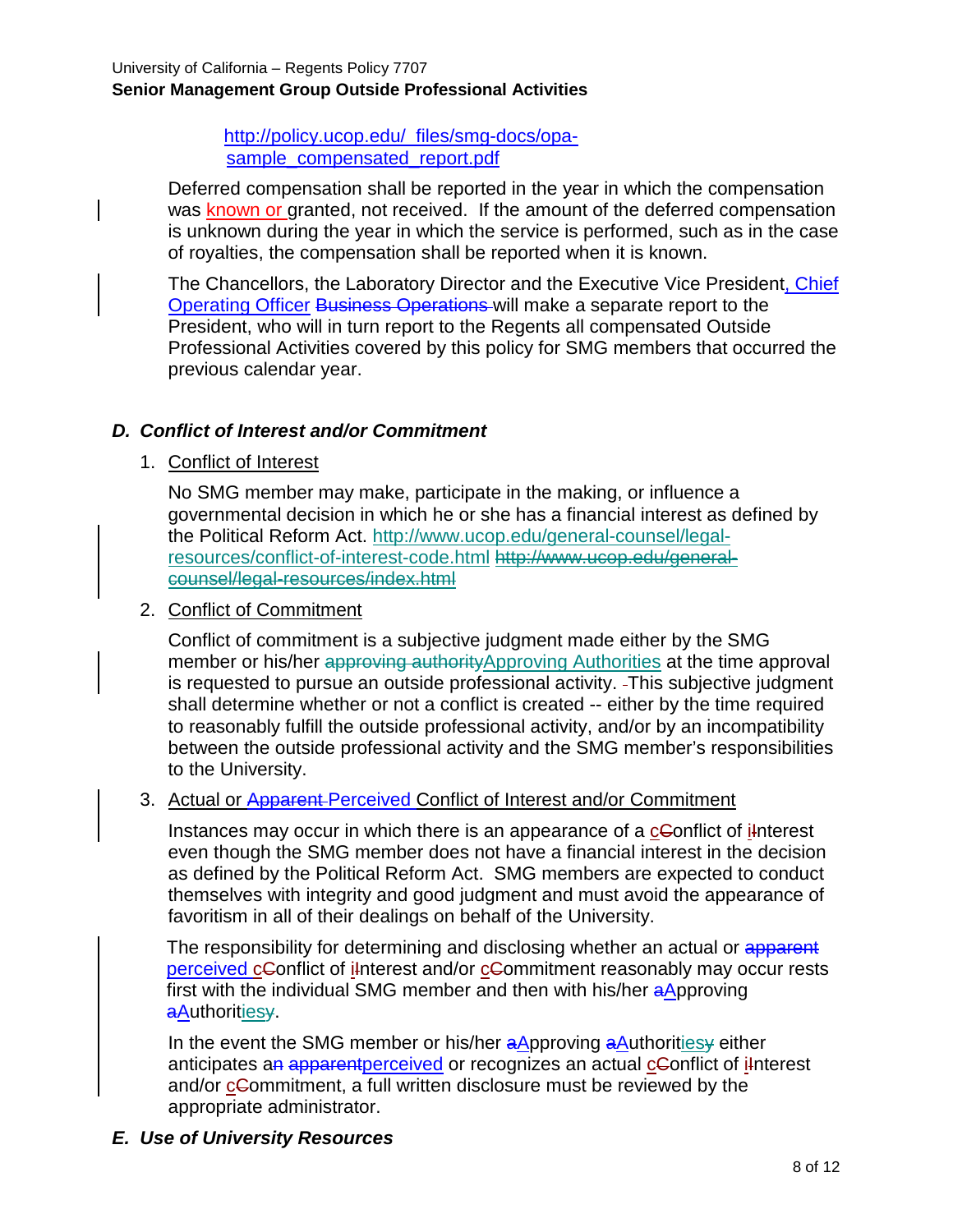[http://policy.ucop.edu/\\_files/smg-docs/opa](http://policy.ucop.edu/_files/smg-docs/opa-sample_compensated_report.pdf)[sample\\_compensated\\_report.pdf](http://policy.ucop.edu/_files/smg-docs/opa-sample_compensated_report.pdf)

Deferred compensation shall be reported in the year in which the compensation was known or granted, not received. If the amount of the deferred compensation is unknown during the year in which the service is performed, such as in the case of royalties, the compensation shall be reported when it is known.

The Chancellors, the Laboratory Director and the Executive Vice President, Chief Operating Officer Business Operations will make a separate report to the President, who will in turn report to the Regents all compensated Outside Professional Activities covered by this policy for SMG members that occurred the previous calendar year.

### *D. Conflict of Interest and/or Commitment*

1. Conflict of Interest

No SMG member may make, participate in the making, or influence a governmental decision in which he or she has a financial interest as defined by the Political Reform Act. http://www.ucop.edu/general-counsel/legalresources/conflict-of-interest-code.html http://www.ucop.edu/generalcounsel/legal-resources/index.html

2. Conflict of Commitment

Conflict of commitment is a subjective judgment made either by the SMG member or his/her approving authorityApproving Authorities at the time approval is requested to pursue an outside professional activity. This subjective judgment shall determine whether or not a conflict is created -- either by the time required to reasonably fulfill the outside professional activity, and/or by an incompatibility between the outside professional activity and the SMG member's responsibilities to the University.

#### 3. Actual or Apparent Perceived Conflict of Interest and/or Commitment

Instances may occur in which there is an appearance of a cConflict of interest even though the SMG member does not have a financial interest in the decision as defined by the Political Reform Act. SMG members are expected to conduct themselves with integrity and good judgment and must avoid the appearance of favoritism in all of their dealings on behalf of the University.

The responsibility for determining and disclosing whether an actual or apparent perceived cConflict of interest and/or cCommitment reasonably may occur rests first with the individual SMG member and then with his/her aApproving aAuthoritiesy.

In the event the SMG member or his/her aApproving aAuthoritiesy either anticipates an apparent perceived or recognizes an actual cConflict of interest and/or commitment, a full written disclosure must be reviewed by the appropriate administrator.

### *E. Use of University Resources*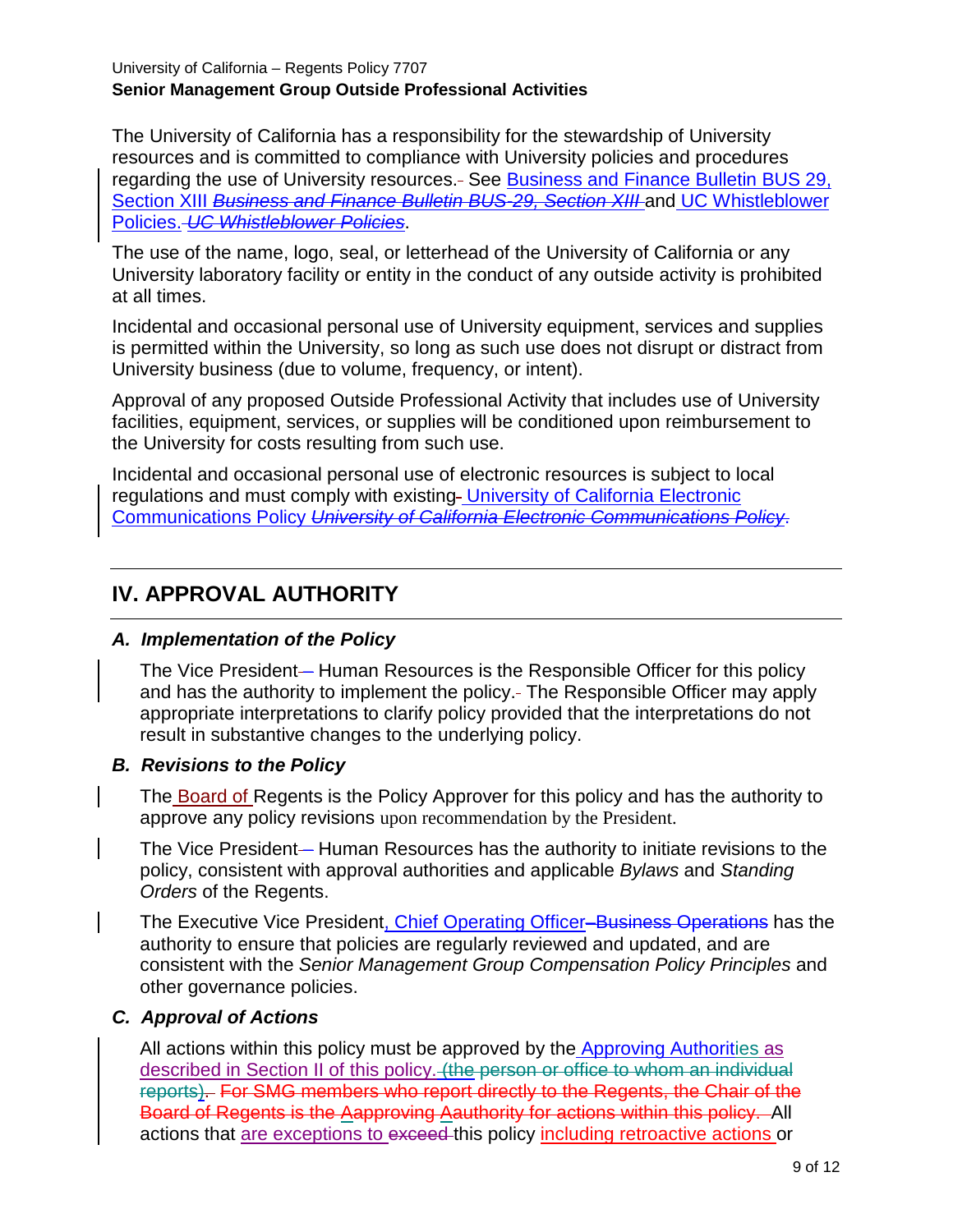The University of California has a responsibility for the stewardship of University resources and is committed to compliance with University policies and procedures regarding the use of University resources. See [Business and Finance Bulletin BUS 29,](http://policy.ucop.edu/doc/3220477/BFB-BUS-29)  [Section XIII](http://policy.ucop.edu/doc/3220477/BFB-BUS-29) *Business and Finance Bulletin BUS-29, Section XIII* and [UC Whistleblower](http://www.ucop.edu/uc-whistleblower/)  [Policies.](http://www.ucop.edu/uc-whistleblower/) *UC Whistleblower Policies*.

The use of the name, logo, seal, or letterhead of the University of California or any University laboratory facility or entity in the conduct of any outside activity is prohibited at all times.

Incidental and occasional personal use of University equipment, services and supplies is permitted within the University, so long as such use does not disrupt or distract from University business (due to volume, frequency, or intent).

Approval of any proposed Outside Professional Activity that includes use of University facilities, equipment, services, or supplies will be conditioned upon reimbursement to the University for costs resulting from such use.

Incidental and occasional personal use of electronic resources is subject to local regulations and must comply with existing University of California Electronic [Communications Policy](http://www.ucop.edu/information-technology-services/policies/electronic-communications.html) *University of California Electronic Communications Policy*.

# **IV. APPROVAL AUTHORITY**

### *A. Implementation of the Policy*

The Vice President— Human Resources is the Responsible Officer for this policy and has the authority to implement the policy. The Responsible Officer may apply appropriate interpretations to clarify policy provided that the interpretations do not result in substantive changes to the underlying policy.

#### *B. Revisions to the Policy*

The Board of Regents is the Policy Approver for this policy and has the authority to approve any policy revisions upon recommendation by the President.

The Vice President-Human Resources has the authority to initiate revisions to the policy, consistent with approval authorities and applicable *Bylaws* and *Standing Orders* of the Regents.

The Executive Vice President, Chief Operating Officer–Business Operations has the authority to ensure that policies are regularly reviewed and updated, and are consistent with the *Senior Management Group Compensation Policy Principles* and other governance policies.

### *C. Approval of Actions*

All actions within this policy must be approved by the Approving Authorities as described in Section II of this policy. (the person or office to whom an individual reports). For SMG members who report directly to the Regents, the Chair of the Board of Regents is the Aapproving Aauthority for actions within this policy. All actions that are exceptions to exceed this policy including retroactive actions or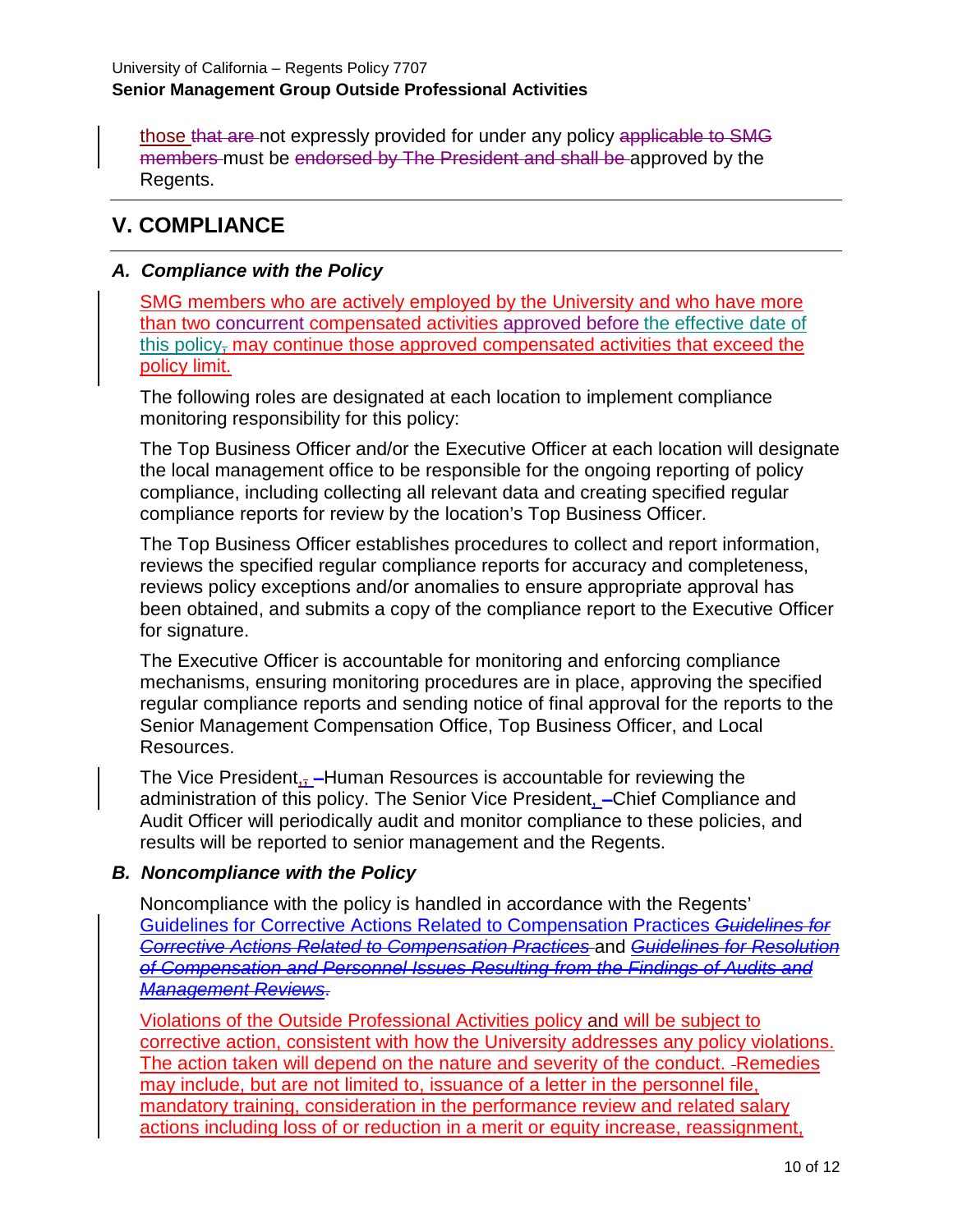those that are not expressly provided for under any policy applicable to SMG members must be endorsed by The President and shall be approved by the Regents.

## **V. COMPLIANCE**

#### *A. Compliance with the Policy*

SMG members who are actively employed by the University and who have more than two concurrent compensated activities approved before the effective date of this policy, may continue those approved compensated activities that exceed the policy limit.

The following roles are designated at each location to implement compliance monitoring responsibility for this policy:

The Top Business Officer and/or the Executive Officer at each location will designate the local management office to be responsible for the ongoing reporting of policy compliance, including collecting all relevant data and creating specified regular compliance reports for review by the location's Top Business Officer.

The Top Business Officer establishes procedures to collect and report information, reviews the specified regular compliance reports for accuracy and completeness, reviews policy exceptions and/or anomalies to ensure appropriate approval has been obtained, and submits a copy of the compliance report to the Executive Officer for signature.

The Executive Officer is accountable for monitoring and enforcing compliance mechanisms, ensuring monitoring procedures are in place, approving the specified regular compliance reports and sending notice of final approval for the reports to the Senior Management Compensation Office, Top Business Officer, and Local Resources.

The Vice President<sub>ix</sub>-Human Resources is accountable for reviewing the administration of this policy. The Senior Vice President, –Chief Compliance and Audit Officer will periodically audit and monitor compliance to these policies, and results will be reported to senior management and the Regents.

#### *B. Noncompliance with the Policy*

Noncompliance with the policy is handled in accordance with the Regents' [Guidelines for Corrective Actions Related to Compensation Practices](http://regents.universityofcalifornia.edu/regmeet/nov06/1cattach1.pdf) *Guidelines for Corrective Actions Related to Compensation Practices* and *Guidelines for Resolution of Compensation and Personnel Issues Resulting from the Findings of Audits and Management Reviews*.

Violations of the Outside Professional Activities policy and will be subject to corrective action, consistent with how the University addresses any policy violations. The action taken will depend on the nature and severity of the conduct. - Remedies may include, but are not limited to, issuance of a letter in the personnel file, mandatory training, consideration in the performance review and related salary actions including loss of or reduction in a merit or equity increase, reassignment,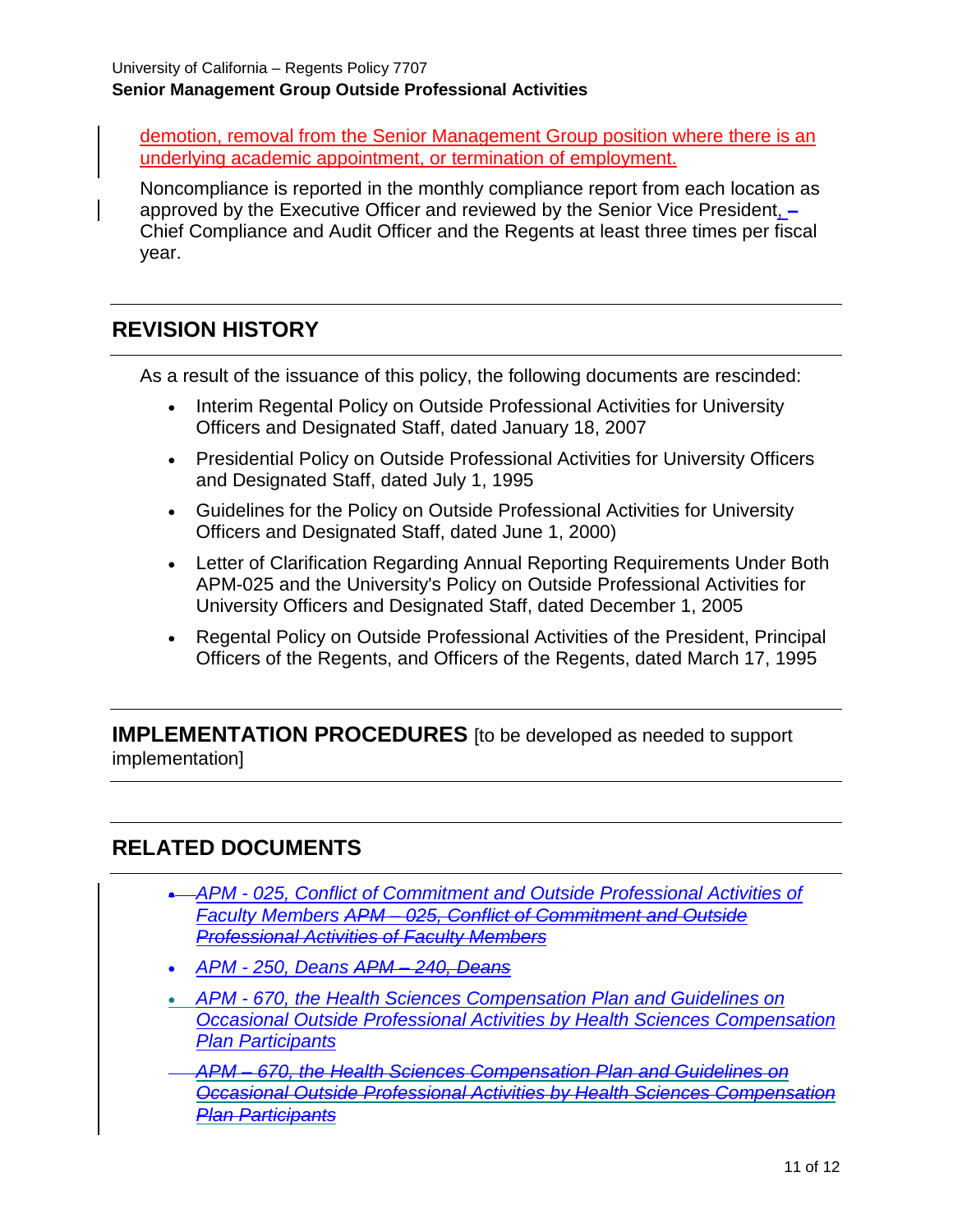demotion, removal from the Senior Management Group position where there is an underlying academic appointment, or termination of employment.

Noncompliance is reported in the monthly compliance report from each location as approved by the Executive Officer and reviewed by the Senior Vice President, – Chief Compliance and Audit Officer and the Regents at least three times per fiscal year.

# **REVISION HISTORY**

As a result of the issuance of this policy, the following documents are rescinded:

- Interim Regental Policy on Outside Professional Activities for University Officers and Designated Staff, dated January 18, 2007
- Presidential Policy on Outside Professional Activities for University Officers and Designated Staff, dated July 1, 1995
- Guidelines for the Policy on Outside Professional Activities for University Officers and Designated Staff, dated June 1, 2000)
- Letter of Clarification Regarding Annual Reporting Requirements Under Both APM-025 and the University's Policy on Outside Professional Activities for University Officers and Designated Staff, dated December 1, 2005
- Regental Policy on Outside Professional Activities of the President, Principal Officers of the Regents, and Officers of the Regents, dated March 17, 1995

**IMPLEMENTATION PROCEDURES** [to be developed as needed to support implementation]

## **RELATED DOCUMENTS**

- *APM - [025, Conflict of Commitment and Outside Professional Activities of](http://www.ucop.edu/academic-personnel-programs/_files/apm/apm-025-07-01.pdf)  [Faculty Members](http://www.ucop.edu/academic-personnel-programs/_files/apm/apm-025-07-01.pdf) APM – 025, Conflict of Commitment and Outside Professional Activities of Faculty Members*
- *APM - [250, Deans](http://www.ucop.edu/academic-personnel-programs/_files/apm/apm-240.pdf) APM – 240, Deans*
- *APM - [670, the Health Sciences Compensation Plan and Guidelines on](http://www.ucop.edu/academic-personnel-programs/_files/apm/apm-670.pdf)  [Occasional Outside Professional Activities by Health Sciences Compensation](http://www.ucop.edu/academic-personnel-programs/_files/apm/apm-670.pdf)  [Plan Participants](http://www.ucop.edu/academic-personnel-programs/_files/apm/apm-670.pdf)*
- *APM – [670, the Health Sciences Compensation Plan and Guidelines on](http://www.fppc.ca.gov/the-law/the-political-reform-act.html)  [Occasional Outside Professional Activities by Health Sciences Compensation](http://www.fppc.ca.gov/the-law/the-political-reform-act.html)  [Plan Participants](http://www.fppc.ca.gov/the-law/the-political-reform-act.html)*